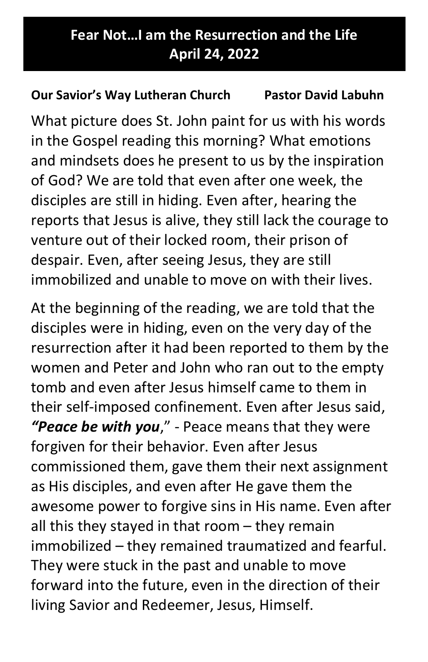## Tour Fear Not…I am the Resurrection and the Life April 24, 2022

## Our Savior's Way Lutheran Church Pastor David Labuhn

What picture does St. John paint for us with his words in the Gospel reading this morning? What emotions and mindsets does he present to us by the inspiration of God? We are told that even after one week, the disciples are still in hiding. Even after, hearing the reports that Jesus is alive, they still lack the courage to venture out of their locked room, their prison of despair. Even, after seeing Jesus, they are still immobilized and unable to move on with their lives.

At the beginning of the reading, we are told that the disciples were in hiding, even on the very day of the resurrection after it had been reported to them by the women and Peter and John who ran out to the empty tomb and even after Jesus himself came to them in their self-imposed confinement. Even after Jesus said, "Peace be with you," - Peace means that they were forgiven for their behavior. Even after Jesus commissioned them, gave them their next assignment as His disciples, and even after He gave them the awesome power to forgive sins in His name. Even after all this they stayed in that room – they remain immobilized – they remained traumatized and fearful. They were stuck in the past and unable to move forward into the future, even in the direction of their living Savior and Redeemer, Jesus, Himself.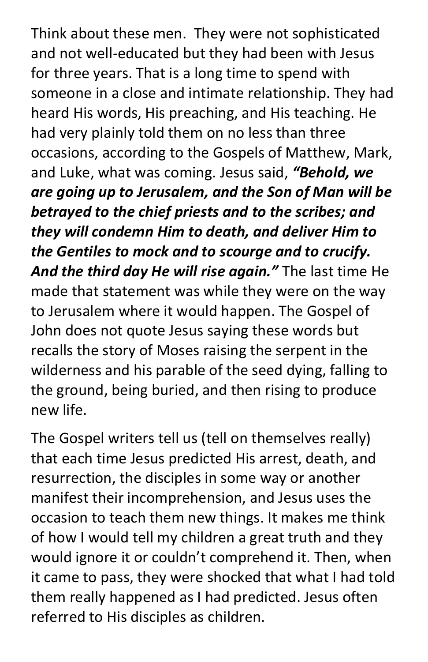Think about these men. They were not sophisticated and not well-educated but they had been with Jesus for three years. That is a long time to spend with someone in a close and intimate relationship. They had heard His words, His preaching, and His teaching. He had very plainly told them on no less than three occasions, according to the Gospels of Matthew, Mark, and Luke, what was coming. Jesus said, "Behold, we are going up to Jerusalem, and the Son of Man will be betrayed to the chief priests and to the scribes; and they will condemn Him to death, and deliver Him to the Gentiles to mock and to scourge and to crucify. And the third day He will rise again." The last time He made that statement was while they were on the way to Jerusalem where it would happen. The Gospel of John does not quote Jesus saying these words but recalls the story of Moses raising the serpent in the wilderness and his parable of the seed dying, falling to the ground, being buried, and then rising to produce new life.

The Gospel writers tell us (tell on themselves really) that each time Jesus predicted His arrest, death, and resurrection, the disciples in some way or another manifest their incomprehension, and Jesus uses the occasion to teach them new things. It makes me think of how I would tell my children a great truth and they would ignore it or couldn't comprehend it. Then, when it came to pass, they were shocked that what I had told them really happened as I had predicted. Jesus often referred to His disciples as children.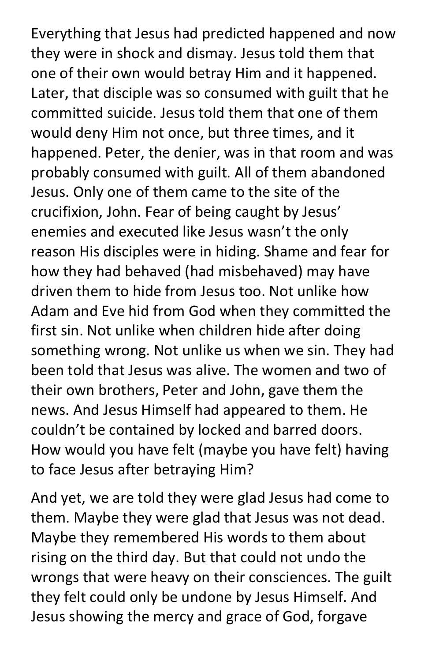Everything that Jesus had predicted happened and now they were in shock and dismay. Jesus told them that one of their own would betray Him and it happened. Later, that disciple was so consumed with guilt that he committed suicide. Jesus told them that one of them would deny Him not once, but three times, and it happened. Peter, the denier, was in that room and was probably consumed with guilt. All of them abandoned Jesus. Only one of them came to the site of the crucifixion, John. Fear of being caught by Jesus' enemies and executed like Jesus wasn't the only reason His disciples were in hiding. Shame and fear for how they had behaved (had misbehaved) may have driven them to hide from Jesus too. Not unlike how Adam and Eve hid from God when they committed the first sin. Not unlike when children hide after doing something wrong. Not unlike us when we sin. They had been told that Jesus was alive. The women and two of their own brothers, Peter and John, gave them the news. And Jesus Himself had appeared to them. He couldn't be contained by locked and barred doors. How would you have felt (maybe you have felt) having to face Jesus after betraying Him?

And yet, we are told they were glad Jesus had come to them. Maybe they were glad that Jesus was not dead. Maybe they remembered His words to them about rising on the third day. But that could not undo the wrongs that were heavy on their consciences. The guilt they felt could only be undone by Jesus Himself. And Jesus showing the mercy and grace of God, forgave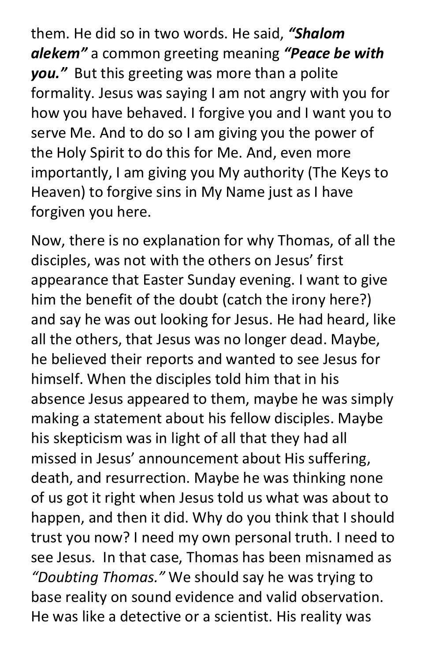them. He did so in two words. He said. "Shalom alekem" a common greeting meaning "Peace be with you." But this greeting was more than a polite formality. Jesus was saying I am not angry with you for how you have behaved. I forgive you and I want you to serve Me. And to do so I am giving you the power of the Holy Spirit to do this for Me. And, even more importantly, I am giving you My authority (The Keys to Heaven) to forgive sins in My Name just as I have forgiven you here.

Now, there is no explanation for why Thomas, of all the disciples, was not with the others on Jesus' first appearance that Easter Sunday evening. I want to give him the benefit of the doubt (catch the irony here?) and say he was out looking for Jesus. He had heard, like all the others, that Jesus was no longer dead. Maybe, he believed their reports and wanted to see Jesus for himself. When the disciples told him that in his absence Jesus appeared to them, maybe he was simply making a statement about his fellow disciples. Maybe his skepticism was in light of all that they had all missed in Jesus' announcement about His suffering, death, and resurrection. Maybe he was thinking none of us got it right when Jesus told us what was about to happen, and then it did. Why do you think that I should trust you now? I need my own personal truth. I need to see Jesus. In that case, Thomas has been misnamed as "Doubting Thomas." We should say he was trying to base reality on sound evidence and valid observation. He was like a detective or a scientist. His reality was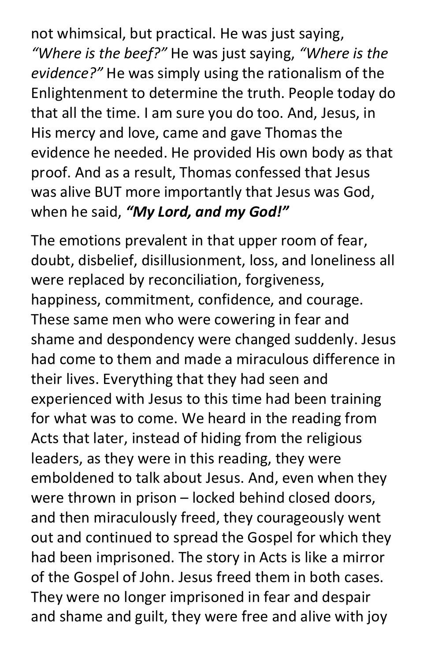not whimsical, but practical. He was just saying, "Where is the beef?" He was just saying, "Where is the evidence?" He was simply using the rationalism of the Enlightenment to determine the truth. People today do that all the time. I am sure you do too. And, Jesus, in His mercy and love, came and gave Thomas the evidence he needed. He provided His own body as that proof. And as a result, Thomas confessed that Jesus was alive BUT more importantly that Jesus was God, when he said, "My Lord, and my God!"

The emotions prevalent in that upper room of fear, doubt, disbelief, disillusionment, loss, and loneliness all were replaced by reconciliation, forgiveness, happiness, commitment, confidence, and courage. These same men who were cowering in fear and shame and despondency were changed suddenly. Jesus had come to them and made a miraculous difference in their lives. Everything that they had seen and experienced with Jesus to this time had been training for what was to come. We heard in the reading from Acts that later, instead of hiding from the religious leaders, as they were in this reading, they were emboldened to talk about Jesus. And, even when they were thrown in prison – locked behind closed doors, and then miraculously freed, they courageously went out and continued to spread the Gospel for which they had been imprisoned. The story in Acts is like a mirror of the Gospel of John. Jesus freed them in both cases. They were no longer imprisoned in fear and despair and shame and guilt, they were free and alive with joy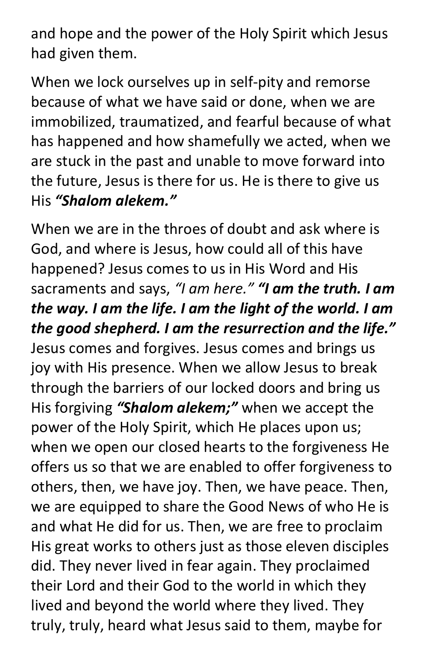and hope and the power of the Holy Spirit which Jesus had given them.

When we lock ourselves up in self-pity and remorse because of what we have said or done, when we are immobilized, traumatized, and fearful because of what has happened and how shamefully we acted, when we are stuck in the past and unable to move forward into the future, Jesus is there for us. He is there to give us His "Shalom alekem."

When we are in the throes of doubt and ask where is God, and where is Jesus, how could all of this have happened? Jesus comes to us in His Word and His sacraments and says, "I am here." "I am the truth. I am the way. I am the life. I am the light of the world. I am the good shepherd. I am the resurrection and the life." Jesus comes and forgives. Jesus comes and brings us joy with His presence. When we allow Jesus to break through the barriers of our locked doors and bring us His forgiving "Shalom alekem;" when we accept the power of the Holy Spirit, which He places upon us; when we open our closed hearts to the forgiveness He offers us so that we are enabled to offer forgiveness to others, then, we have joy. Then, we have peace. Then, we are equipped to share the Good News of who He is and what He did for us. Then, we are free to proclaim His great works to others just as those eleven disciples did. They never lived in fear again. They proclaimed their Lord and their God to the world in which they lived and beyond the world where they lived. They truly, truly, heard what Jesus said to them, maybe for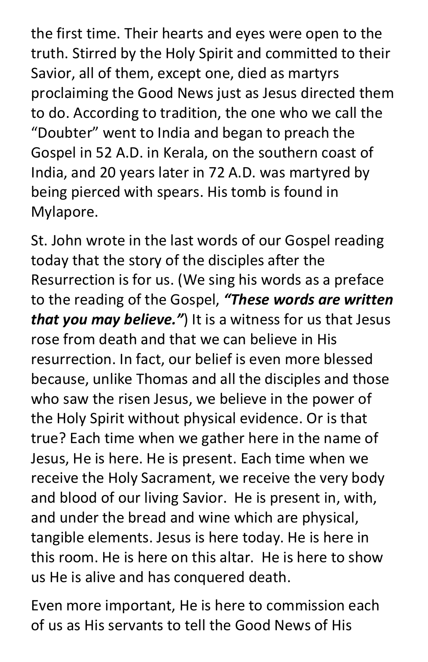the first time. Their hearts and eyes were open to the truth. Stirred by the Holy Spirit and committed to their Savior, all of them, except one, died as martyrs proclaiming the Good News just as Jesus directed them to do. According to tradition, the one who we call the "Doubter" went to India and began to preach the Gospel in 52 A.D. in Kerala, on the southern coast of India, and 20 years later in 72 A.D. was martyred by being pierced with spears. His tomb is found in Mylapore.

St. John wrote in the last words of our Gospel reading today that the story of the disciples after the Resurrection is for us. (We sing his words as a preface to the reading of the Gospel, "These words are written that you may believe.") It is a witness for us that Jesus rose from death and that we can believe in His resurrection. In fact, our belief is even more blessed because, unlike Thomas and all the disciples and those who saw the risen Jesus, we believe in the power of the Holy Spirit without physical evidence. Or is that true? Each time when we gather here in the name of Jesus, He is here. He is present. Each time when we receive the Holy Sacrament, we receive the very body and blood of our living Savior. He is present in, with, and under the bread and wine which are physical, tangible elements. Jesus is here today. He is here in this room. He is here on this altar. He is here to show us He is alive and has conquered death.

Even more important, He is here to commission each of us as His servants to tell the Good News of His